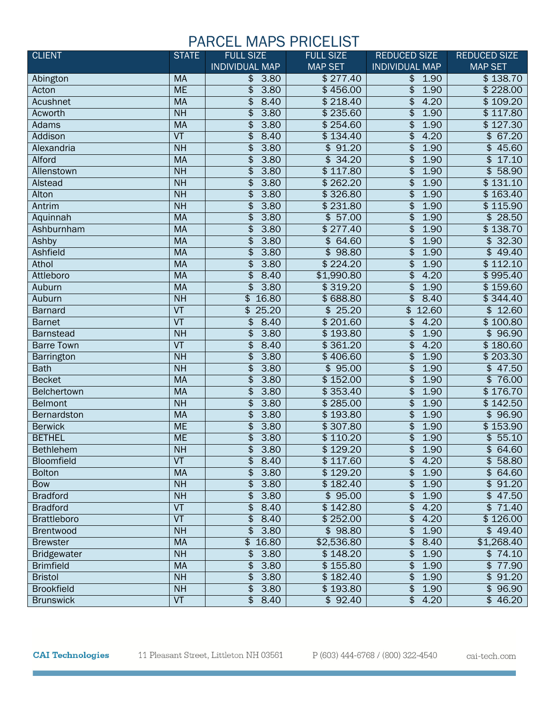| <b>CLIENT</b>      | <b>STATE</b>             | <b>FULL SIZE</b>                 | <b>FULL SIZE</b> | <b>REDUCED SIZE</b>              | <b>REDUCED SIZE</b>              |
|--------------------|--------------------------|----------------------------------|------------------|----------------------------------|----------------------------------|
|                    |                          | <b>INDIVIDUAL MAP</b>            | <b>MAP SET</b>   | <b>INDIVIDUAL MAP</b>            | <b>MAP SET</b>                   |
| Abington           | <b>MA</b>                | 3.80<br>\$                       | \$277.40         | \$<br>1.90                       | \$138.70                         |
| Acton              | <b>ME</b>                | 3.80<br>\$                       | \$456.00         | \$<br>1.90                       | \$228.00                         |
| Acushnet           | <b>MA</b>                | \$<br>8.40                       | \$218.40         | 4.20<br>\$                       | \$109.20                         |
| Acworth            | NH                       | 3.80<br>\$                       | \$235.60         | \$<br>1.90                       | \$117.80                         |
| Adams              | <b>MA</b>                | 3.80<br>\$                       | \$254.60         | 1.90<br>\$                       | \$127.30                         |
| Addison            | $\overline{\text{VT}}$   | \$<br>8.40                       | \$134.40         | 4.20<br>\$                       | 67.20<br>\$                      |
| Alexandria         | NH                       | 3.80<br>\$                       | \$91.20          | \$<br>1.90                       | \$<br>45.60                      |
| Alford             | <b>MA</b>                | 3.80<br>\$                       | \$34.20          | 1.90<br>\$                       | 17.10<br>$\overline{\mathbf{e}}$ |
| Allenstown         | <b>NH</b>                | 3.80<br>\$                       | \$117.80         | $\overline{\$}$<br>1.90          | 58.90<br>\$                      |
| Alstead            | <b>NH</b>                | 3.80<br>\$                       | \$262.20         | \$<br>1.90                       | \$131.10                         |
| Alton              | NH                       | 3.80<br>\$                       | \$326.80         | 1.90<br>\$                       | \$163.40                         |
| Antrim             | NH                       | 3.80<br>\$                       | \$231.80         | \$<br>1.90                       | \$115.90                         |
| Aquinnah           | <b>MA</b>                | 3.80<br>\$                       | \$57.00          | \$<br>1.90                       | \$28.50                          |
| Ashburnham         | <b>MA</b>                | 3.80<br>\$                       | \$277.40         | 1.90<br>\$                       | \$138.70                         |
| Ashby              | <b>MA</b>                | 3.80<br>\$                       | \$64.60          | 1.90<br>\$                       | \$32.30                          |
| <b>Ashfield</b>    | <b>MA</b>                | 3.80<br>\$                       | \$<br>98.80      | 1.90<br>\$                       | 49.40<br>\$                      |
| Athol              | <b>MA</b>                | 3.80<br>\$                       | \$224.20         | 1.90<br>\$                       | \$112.10                         |
| Attleboro          | <b>MA</b>                | \$<br>8.40                       | \$1,990.80       | 4.20<br>\$                       | \$995.40                         |
| Auburn             | <b>MA</b>                | 3.80<br>\$                       | \$319.20         | 1.90<br>\$                       | \$159.60                         |
| Auburn             | NH                       | $\overline{\mathbf{e}}$<br>16.80 | \$688.80         | $\overline{\mathbf{3}}$<br>8.40  | \$344.40                         |
| <b>Barnard</b>     | $\overline{\mathsf{VT}}$ | 25.20<br>\$                      | \$25.20          | $\overline{\mathbf{e}}$<br>12.60 | \$12.60                          |
| <b>Barnet</b>      | $\overline{\mathsf{VT}}$ | \$<br>8.40                       | \$201.60         | \$<br>4.20                       | \$100.80                         |
| <b>Barnstead</b>   | NH                       | 3.80<br>\$                       | \$193.80         | 1.90<br>\$                       | \$96.90                          |
| <b>Barre Town</b>  | $\overline{\mathsf{VT}}$ | 8.40<br>\$                       | \$361.20         | 4.20<br>\$                       | \$180.60                         |
| Barrington         | NH                       | 3.80<br>\$                       | \$406.60         | 1.90<br>\$                       | \$203.30                         |
| <b>Bath</b>        | <b>NH</b>                | \$<br>3.80                       | \$95.00          | \$<br>1.90                       | \$47.50                          |
| <b>Becket</b>      | <b>MA</b>                | 3.80<br>\$                       | \$152.00         | 1.90<br>\$                       | \$76.00                          |
| Belchertown        | <b>MA</b>                | 3.80<br>\$                       | \$353.40         | \$<br>1.90                       | \$176.70                         |
| <b>Belmont</b>     | <b>NH</b>                | 3.80<br>\$                       | \$285.00         | \$<br>1.90                       | \$142.50                         |
| Bernardston        | <b>MA</b>                | 3.80<br>\$                       | \$193.80         | 1.90<br>\$                       | \$96.90                          |
| <b>Berwick</b>     | <b>ME</b>                | \$<br>3.80                       | \$307.80         | \$<br>1.90                       | \$153.90                         |
| <b>BETHEL</b>      | <b>ME</b>                | 3.80<br>\$                       | \$110.20         | \$<br>1.90                       | \$55.10                          |
| <b>Bethlehem</b>   | NH                       | \$3.80                           | \$129.20         | 1.90<br>$\overline{\mathbf{e}}$  | \$64.60                          |
| Bloomfield         | VT                       | \$<br>8.40                       | \$117.60         | \$<br>4.20                       | \$58.80                          |
| <b>Bolton</b>      | <b>MA</b>                | \$<br>3.80                       | \$129.20         | \$<br>1.90                       | \$64.60                          |
| <b>Bow</b>         | <b>NH</b>                | 3.80<br>\$                       | \$182.40         | 1.90<br>\$                       | \$91.20                          |
| <b>Bradford</b>    | <b>NH</b>                | 3.80<br>\$                       | \$95.00          | \$<br>1.90                       | \$47.50                          |
| <b>Bradford</b>    | $\overline{\mathsf{VT}}$ | 8.40<br>\$                       | \$142.80         | \$<br>4.20                       | \$71.40                          |
| <b>Brattleboro</b> | VT                       | 8.40<br>\$                       | \$252.00         | \$<br>4.20                       | \$126.00                         |
| <b>Brentwood</b>   | <b>NH</b>                | \$<br>3.80                       | \$98.80          | 1.90<br>\$                       | \$49.40                          |
| <b>Brewster</b>    | <b>MA</b>                | $\overline{\mathbf{e}}$<br>16.80 | \$2,536.80       | \$<br>8.40                       | \$1,268.40                       |
| <b>Bridgewater</b> | <b>NH</b>                | 3.80<br>\$                       | \$148.20         | 1.90<br>\$                       | \$74.10                          |
| <b>Brimfield</b>   | <b>MA</b>                | 3.80<br>\$                       | \$155.80         | 1.90<br>\$                       | \$77.90                          |
| <b>Bristol</b>     | <b>NH</b>                | \$<br>3.80                       | \$182.40         | \$<br>1.90                       | \$91.20                          |
| <b>Brookfield</b>  | <b>NH</b>                | 3.80<br>\$                       | \$193.80         | \$<br>1.90                       | \$96.90                          |
| <b>Brunswick</b>   | VT                       | \$<br>8.40                       | \$92.40          | 4.20<br>\$                       | \$46.20                          |

**CAI Technologies** 

11 Pleasant Street, Littleton NH 03561

P (603) 444-6768 / (800) 322-4540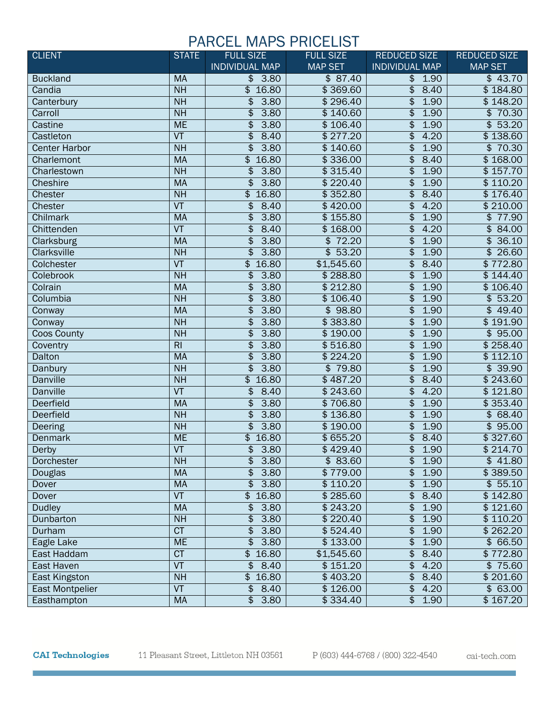| <b>CLIENT</b>        | <b>STATE</b>             | <b>FULL SIZE</b>                 | <b>FULL SIZE</b> | <b>REDUCED SIZE</b>     | <b>REDUCED SIZE</b> |
|----------------------|--------------------------|----------------------------------|------------------|-------------------------|---------------------|
|                      |                          | <b>INDIVIDUAL MAP</b>            | <b>MAP SET</b>   | <b>INDIVIDUAL MAP</b>   | <b>MAP SET</b>      |
| <b>Buckland</b>      | <b>MA</b>                | \$<br>3.80                       | \$87.40          | \$<br>1.90              | \$43.70             |
| Candia               | NH                       | \$<br>16.80                      | \$369.60         | \$<br>8.40              | \$184.80            |
| Canterbury           | <b>NH</b>                | 3.80<br>\$                       | \$296.40         | \$<br>1.90              | \$148.20            |
| Carroll              | NH                       | 3.80<br>\$                       | \$140.60         | \$<br>1.90              | 70.30<br>\$         |
| Castine              | <b>ME</b>                | 3.80<br>\$                       | \$106.40         | 1.90<br>\$              | \$53.20             |
| Castleton            | $\overline{\text{VT}}$   | \$<br>8.40                       | \$277.20         | 4.20<br>\$              | \$138.60            |
| <b>Center Harbor</b> | $\overline{NH}$          | 3.80<br>\$                       | \$140.60         | \$<br>1.90              | \$70.30             |
| Charlemont           | <b>MA</b>                | 16.80<br>\$                      | \$336.00         | 8.40<br>\$              | \$168.00            |
| Charlestown          | <b>NH</b>                | \$<br>3.80                       | \$315.40         | $\overline{\$}$<br>1.90 | \$157.70            |
| Cheshire             | <b>MA</b>                | 3.80<br>\$                       | \$220.40         | \$<br>1.90              | \$110.20            |
| <b>Chester</b>       | <b>NH</b>                | 16.80<br>$\frac{1}{2}$           | \$352.80         | 8.40<br>\$              | \$176.40            |
| Chester              | $\overline{\text{VT}}$   | 8.40<br>\$                       | \$420.00         | 4.20<br>\$              | \$210.00            |
| Chilmark             | <b>MA</b>                | 3.80<br>\$                       | \$155.80         | \$<br>1.90              | \$77.90             |
| Chittenden           | $\overline{\mathsf{VT}}$ | 8.40<br>\$                       | \$168.00         | 4.20<br>\$              | \$84.00             |
| Clarksburg           | <b>MA</b>                | \$<br>3.80                       | \$72.20          | \$<br>1.90              | 36.10<br>\$         |
| <b>Clarksville</b>   | NH                       | 3.80<br>\$                       | \$<br>53.20      | \$<br>1.90              | \$<br>26.60         |
| Colchester           | $\overline{\mathsf{VT}}$ | 16.80<br>\$                      | \$1,545.60       | \$<br>8.40              | \$772.80            |
| Colebrook            | NH                       | \$<br>3.80                       | \$288.80         | 1.90<br>\$              | \$144.40            |
| Colrain              | <b>MA</b>                | \$<br>3.80                       | \$212.80         | \$<br>1.90              | \$106.40            |
| Columbia             | <b>NH</b>                | 3.80<br>\$                       | \$106.40         | \$<br>1.90              | \$53.20             |
| Conway               | <b>MA</b>                | \$<br>3.80                       | \$98.80          | \$<br>1.90              | \$49.40             |
| Conway               | <b>NH</b>                | 3.80<br>\$                       | \$383.80         | \$<br>1.90              | \$191.90            |
| <b>Coos County</b>   | <b>NH</b>                | 3.80<br>\$                       | \$190.00         | 1.90<br>\$              | \$95.00             |
| Coventry             | RI                       | 3.80<br>\$                       | \$516.80         | 1.90<br>\$              | \$258.40            |
| Dalton               | <b>MA</b>                | \$<br>3.80                       | \$224.20         | \$<br>1.90              | \$112.10            |
| Danbury              | <b>NH</b>                | 3.80<br>\$                       | \$79.80          | 1.90<br>\$              | \$39.90             |
| <b>Danville</b>      | NH                       | \$<br>16.80                      | \$487.20         | \$<br>8.40              | \$243.60            |
| <b>Danville</b>      | $\overline{\mathsf{VT}}$ | \$<br>8.40                       | \$243.60         | \$<br>4.20              | \$121.80            |
| <b>Deerfield</b>     | <b>MA</b>                | 3.80<br>\$                       | \$706.80         | \$<br>1.90              | \$353.40            |
| <b>Deerfield</b>     | NH                       | 3.80<br>\$                       | \$136.80         | \$<br>1.90              | \$68.40             |
| Deering              | <b>NH</b>                | \$<br>3.80                       | \$190.00         | \$<br>1.90              | \$95.00             |
| <b>Denmark</b>       | <b>ME</b>                | $\overline{\mathbf{e}}$<br>16.80 | \$655.20         | 8.40<br>\$              | \$327.60            |
| Г<br>Derby           | VT                       | \$3.80                           | \$429.40         | \$1.90                  | \$214.70            |
| Dorchester           | N <sub>H</sub>           | \$<br>3.80                       | \$83.60          | \$<br>1.90              | $\sqrt{$}41.80$     |
| Douglas              | <b>MA</b>                | \$<br>3.80                       | \$779.00         | \$<br>1.90              | \$389.50            |
| Dover                | <b>MA</b>                | \$<br>3.80                       | \$110.20         | \$<br>1.90              | \$55.10             |
| <b>Dover</b>         | $\overline{\mathsf{VT}}$ | \$16.80                          | \$285.60         | \$<br>8.40              | \$142.80            |
| <b>Dudley</b>        | <b>MA</b>                | 3.80<br>\$                       | \$243.20         | 1.90<br>\$              | \$121.60            |
| Dunbarton            | <b>NH</b>                | 3.80<br>\$                       | \$220.40         | 1.90<br>\$              | \$110.20            |
| Durham               | $\overline{CT}$          | 3.80<br>\$                       | \$524.40         | \$<br>1.90              | \$262.20            |
| Eagle Lake           | <b>ME</b>                | 3.80<br>\$                       | \$133.00         | \$<br>1.90              | \$66.50             |
| East Haddam          | CT                       | \$16.80                          | \$1,545.60       | 8.40<br>\$              | \$772.80            |
| East Haven           | $\overline{\mathsf{VT}}$ | \$<br>8.40                       | \$151.20         | 4.20<br>\$              | \$75.60             |
| East Kingston        | NH                       | \$<br>16.80                      | \$403.20         | \$<br>8.40              | \$201.60            |
| East Montpelier      | $\overline{\mathsf{VT}}$ | 8.40<br>\$                       | \$126.00         | 4.20<br>\$              | \$63.00             |
| Easthampton          | <b>MA</b>                | 3.80<br>\$                       | \$334.40         | \$<br>1.90              | \$167.20            |

**CAI Technologies** 

11 Pleasant Street, Littleton NH 03561

P (603) 444-6768 / (800) 322-4540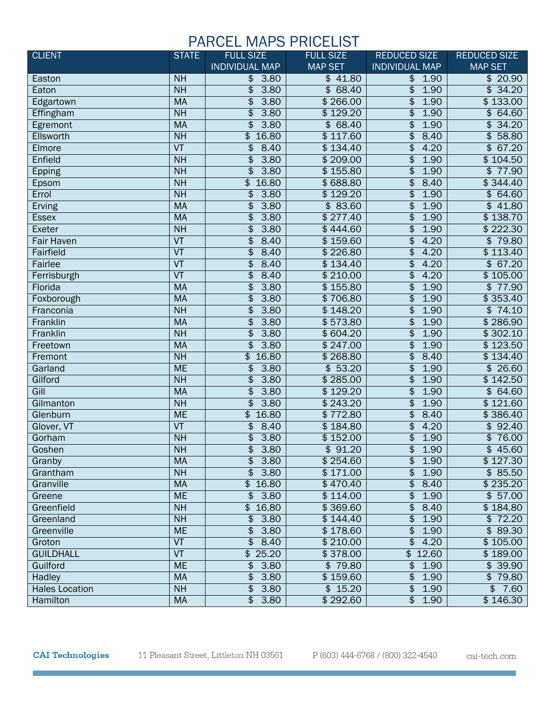| <b>CLIENT</b>         | <b>STATE</b>             | <b>FULL SIZE</b>      | <b>FULL SIZE</b>                 | <b>REDUCED SIZE</b>   | <b>REDUCED SIZE</b> |
|-----------------------|--------------------------|-----------------------|----------------------------------|-----------------------|---------------------|
|                       |                          | <b>INDIVIDUAL MAP</b> | <b>MAP SET</b>                   | <b>INDIVIDUAL MAP</b> | <b>MAP SET</b>      |
| Easton                | <b>NH</b>                | \$<br>3.80            | \$41.80                          | \$<br>1.90            | \$20.90             |
| Eaton                 | NH                       | 3.80<br>\$            | $\overline{\mathbf{e}}$<br>68.40 | 1.90<br>\$            | \$<br>34.20         |
| Edgartown             | <b>MA</b>                | 3.80<br>\$            | \$266.00                         | \$<br>1.90            | \$133.00            |
| Effingham             | <b>NH</b>                | 3.80<br>\$            | \$129.20                         | \$<br>1.90            | \$<br>64.60         |
| Egremont              | <b>MA</b>                | \$<br>3.80            | 68.40<br>\$                      | \$<br>1.90            | 34.20<br>\$         |
| <b>Ellsworth</b>      | NH                       | 16.80<br>\$           | \$117.60                         | \$<br>8.40            | 58.80<br>\$         |
| Elmore                | $\overline{\mathsf{VT}}$ | \$<br>8.40            | \$134.40                         | 4.20<br>\$            | \$67.20             |
| Enfield               | <b>NH</b>                | 3.80<br>\$            | \$209.00                         | \$<br>1.90            | \$104.50            |
| Epping                | <b>NH</b>                | 3.80<br>\$            | \$155.80                         | 1.90<br>\$            | \$77.90             |
| Epsom                 | $\overline{NH}$          | 16.80<br>\$           | \$688.80                         | \$<br>8.40            | \$344.40            |
| Errol                 | $\overline{NH}$          | 3.80<br>\$            | \$129.20                         | \$<br>1.90            | 64.60<br>\$         |
| Erving                | <b>MA</b>                | 3.80<br>\$            | \$83.60                          | 1.90<br>\$            | 41.80<br>\$         |
| <b>Essex</b>          | <b>MA</b>                | 3.80<br>\$            | \$277.40                         | 1.90<br>\$            | \$138.70            |
| Exeter                | <b>NH</b>                | \$<br>3.80            | \$444.60                         | \$<br>1.90            | \$222.30            |
| Fair Haven            | $\overline{\mathsf{VT}}$ | \$<br>8.40            | \$159.60                         | 4.20<br>\$            | \$79.80             |
| Fairfield             | $\overline{\mathsf{VT}}$ | 8.40<br>\$            | \$226.80                         | 4.20<br>\$            | \$113.40            |
| Fairlee               | $\overline{\mathsf{VT}}$ | \$<br>8.40            | \$134.40                         | \$<br>4.20            | \$<br>67.20         |
| Ferrisburgh           | VT                       | \$<br>8.40            | \$210.00                         | 4.20<br>\$            | \$105.00            |
| Florida               | <b>MA</b>                | 3.80<br>\$            | \$155.80                         | \$<br>1.90            | \$77.90             |
| Foxborough            | <b>MA</b>                | 3.80<br>\$            | \$706.80                         | \$<br>1.90            | \$353.40            |
| Franconia             | <b>NH</b>                | 3.80<br>\$            | \$148.20                         | 1.90<br>\$            | \$74.10             |
| Franklin              | <b>MA</b>                | \$<br>3.80            | \$573.80                         | \$<br>1.90            | \$286.90            |
| Franklin              | NH                       | \$<br>3.80            | \$604.20                         | \$<br>1.90            | \$302.10            |
| Freetown              | <b>MA</b>                | 3.80<br>\$            | \$247.00                         | 1.90<br>\$            | \$123.50            |
| Fremont               | NH                       | 16.80<br>\$           | \$268.80                         | \$<br>8.40            | \$134.40            |
| Garland               | <b>ME</b>                | \$<br>3.80            | \$53.20                          | \$<br>1.90            | \$26.60             |
| Gilford               | $\overline{NH}$          | 3.80<br>\$            | \$285.00                         | 1.90<br>\$            | \$142.50            |
| Gill                  | <b>MA</b>                | 3.80<br>\$            | \$129.20                         | 1.90<br>\$            | \$64.60             |
| Gilmanton             | <b>NH</b>                | \$<br>3.80            | \$243.20                         | \$<br>1.90            | \$121.60            |
| Glenburn              | <b>ME</b>                | 16.80<br>\$           | \$772.80                         | \$<br>8.40            | \$386.40            |
| Glover, VT            | $\overline{\mathsf{VT}}$ | 8.40<br>\$            | \$184.80                         | \$<br>4.20            | \$92.40             |
| Gorham                | $\overline{NH}$          | 3.80<br>\$            | \$152.00                         | \$<br>1.90            | \$76.00             |
| Goshen                | NH                       | \$3.80                | \$91.20                          | \$1.90                | \$45.60             |
| Granby                | <b>MA</b>                | $\sqrt{$}3.80$        | \$254.60                         | \$<br>1.90            | \$127.30            |
| Grantham              | <b>NH</b>                | 3.80<br>\$            | \$171.00                         | \$<br>1.90            | \$85.50             |
| Granville             | <b>MA</b>                | \$16.80               | \$470.40                         | 8.40<br>\$            | \$235.20            |
| Greene                | <b>ME</b>                | \$3.80                | \$114.00                         | 1.90<br>\$            | \$57.00             |
| Greenfield            | NH                       | \$16.80               | \$369.60                         | \$<br>8.40            | \$184.80            |
| Greenland             | NH                       | 3.80<br>\$            | \$144.40                         | 1.90<br>\$            | \$72.20             |
| Greenville            | <b>ME</b>                | \$<br>3.80            | \$178.60                         | \$<br>1.90            | \$89.30             |
| Groton                | VT                       | \$<br>8.40            | \$210.00                         | \$<br>4.20            | \$105.00            |
| <b>GUILDHALL</b>      | VT                       | \$25.20               | \$378.00                         | \$12.60               | \$189.00            |
| Guilford              | <b>ME</b>                | \$3.80                | \$79.80                          | \$1.90                | \$39.90             |
| Hadley                | MA                       | \$3.80                | \$159.60                         | \$1.90                | \$79.80             |
| <b>Hales Location</b> | NH                       | 3.80<br>\$            | \$15.20                          | 1.90<br>\$            | \$7.60              |
| Hamilton              | <b>MA</b>                | \$3.80                | \$292.60                         | \$1.90                | \$146.30            |

**CAI Technologies** 

11 Pleasant Street, Littleton NH 03561

P (603) 444-6768 / (800) 322-4540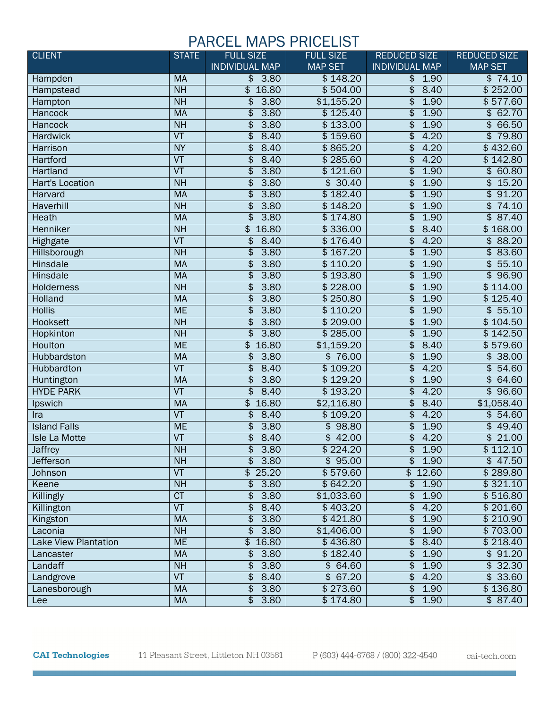| <b>CLIENT</b>               | <b>STATE</b>             | <b>FULL SIZE</b>      | <b>FULL SIZE</b>                 | <b>REDUCED SIZE</b>   | <b>REDUCED SIZE</b>              |
|-----------------------------|--------------------------|-----------------------|----------------------------------|-----------------------|----------------------------------|
|                             |                          | <b>INDIVIDUAL MAP</b> | <b>MAP SET</b>                   | <b>INDIVIDUAL MAP</b> | <b>MAP SET</b>                   |
| Hampden                     | <b>MA</b>                | \$<br>3.80            | \$148.20                         | \$<br>1.90            | $\sqrt{5}$ 74.10                 |
| Hampstead                   | NH                       | 16.80<br>\$           | \$504.00                         | \$<br>8.40            | \$252.00                         |
| Hampton                     | <b>NH</b>                | 3.80<br>\$            | \$1,155.20                       | 1.90<br>\$            | \$577.60                         |
| Hancock                     | <b>MA</b>                | 3.80<br>\$            | \$125.40                         | \$<br>1.90            | \$<br>62.70                      |
| <b>Hancock</b>              | <b>NH</b>                | 3.80<br>\$            | \$133.00                         | 1.90<br>\$            | \$<br>66.50                      |
| <b>Hardwick</b>             | $\overline{\mathsf{VT}}$ | \$<br>8.40            | \$159.60                         | 4.20<br>\$            | 79.80<br>\$                      |
| Harrison                    | <b>NY</b>                | \$<br>8.40            | \$865.20                         | \$<br>4.20            | \$432.60                         |
| Hartford                    | $\overline{\mathsf{VT}}$ | 8.40<br>\$            | \$285.60                         | 4.20<br>\$            | \$142.80                         |
| <b>Hartland</b>             | VT                       | \$<br>3.80            | \$121.60                         | \$<br>1.90            | \$60.80                          |
| Hart's Location             | <b>NH</b>                | \$<br>3.80            | \$30.40                          | \$<br>1.90            | 15.20<br>\$                      |
| Harvard                     | <b>MA</b>                | 3.80<br>\$            | \$182.40                         | 1.90<br>\$            | 91.20<br>\$                      |
| Haverhill                   | NH                       | 3.80<br>\$            | \$148.20                         | 1.90<br>\$            | \$<br>74.10                      |
| <b>Heath</b>                | <b>MA</b>                | \$<br>3.80            | \$174.80                         | \$<br>1.90            | 87.40<br>\$                      |
| Henniker                    | NH                       | 16.80<br>\$           | \$336.00                         | \$<br>8.40            | \$168.00                         |
| Highgate                    | $\overline{\mathsf{VT}}$ | 8.40<br>\$            | \$176.40                         | \$<br>4.20            | \$88.20                          |
| Hillsborough                | <b>NH</b>                | 3.80<br>\$            | \$167.20                         | \$<br>1.90            | \$<br>83.60                      |
| Hinsdale                    | <b>MA</b>                | 3.80<br>\$            | \$110.20                         | \$<br>1.90            | 55.10<br>\$                      |
| <b>Hinsdale</b>             | <b>MA</b>                | \$<br>3.80            | \$193.80                         | \$<br>1.90            | 96.90<br>\$                      |
| <b>Holderness</b>           | <b>NH</b>                | 3.80<br>\$            | \$228.00                         | \$<br>1.90            | \$114.00                         |
| <b>Holland</b>              | <b>MA</b>                | 3.80<br>\$            | \$250.80                         | \$<br>1.90            | \$125.40                         |
| <b>Hollis</b>               | <b>ME</b>                | \$<br>3.80            | \$110.20                         | \$<br>1.90            | \$55.10                          |
| Hooksett                    | <b>NH</b>                | 3.80<br>\$            | \$209.00                         | \$<br>1.90            | \$104.50                         |
| Hopkinton                   | NH                       | 3.80<br>\$            | \$285.00                         | 1.90<br>\$            | \$142.50                         |
| Houlton                     | <b>ME</b>                | 16.80<br>\$           | \$1,159.20                       | \$<br>8.40            | \$579.60                         |
| Hubbardston                 | <b>MA</b>                | 3.80<br>\$            | \$76.00                          | 1.90<br>\$            | \$38.00                          |
| Hubbardton                  | $\overline{\mathsf{VT}}$ | 8.40<br>\$            | \$109.20                         | \$<br>4.20            | \$<br>54.60                      |
| Huntington                  | <b>MA</b>                | 3.80<br>\$            | \$129.20                         | 1.90<br>\$            | \$<br>64.60                      |
| <b>HYDE PARK</b>            | $\overline{\mathsf{VT}}$ | \$<br>8.40            | \$193.20                         | \$<br>4.20            | \$96.60                          |
| Ipswich                     | <b>MA</b>                | 16.80<br>\$           | \$2,116.80                       | \$<br>8.40            | \$1,058.40                       |
| Ira                         | VT                       | \$<br>8.40            | \$109.20                         | 4.20<br>\$            | \$54.60                          |
| <b>Island Falls</b>         | <b>ME</b>                | 3.80<br>\$            | \$98.80                          | \$<br>1.90            | \$<br>49.40                      |
| Isle La Motte               | $\overline{\mathsf{VT}}$ | \$<br>8.40            | $\overline{\mathbf{e}}$<br>42.00 | \$<br>4.20            | $\overline{\mathbf{e}}$<br>21.00 |
| <b>Jaffrey</b>              | NH                       | \$3.80                | \$224.20                         | \$1.90                | \$112.10                         |
| <b>Jefferson</b>            | <b>NH</b>                | \$3.80                | \$95.00                          | \$1.90                | \$47.50                          |
| Johnson                     | VT                       | \$25.20               | \$579.60                         | \$12.60               | \$289.80                         |
| Keene                       | <b>NH</b>                | 3.80<br>\$            | \$642.20                         | 1.90<br>\$            | \$321.10                         |
| Killingly                   | CT                       | 3.80<br>\$            | \$1,033.60                       | 1.90<br>\$            | \$516.80                         |
| Killington                  | VT                       | 8.40<br>\$            | \$403.20                         | 4.20<br>\$            | \$201.60                         |
| Kingston                    | <b>MA</b>                | \$<br>3.80            | \$421.80                         | \$<br>1.90            | \$210.90                         |
| Laconia                     | <b>NH</b>                | 3.80<br>\$            | \$1,406.00                       | 1.90<br>\$            | \$703.00                         |
| <b>Lake View Plantation</b> | <b>ME</b>                | 16.80<br>\$           | \$436.80                         | \$<br>8.40            | \$218.40                         |
| Lancaster                   | <b>MA</b>                | 3.80<br>\$            | \$182.40                         | \$<br>1.90            | \$91.20                          |
| Landaff                     | <b>NH</b>                | 3.80<br>\$            | \$64.60                          | 1.90<br>\$            | \$32.30                          |
| Landgrove                   | VT                       | \$<br>8.40            | \$67.20                          | 4.20<br>\$            | \$33.60                          |
| Lanesborough                | MA                       | 3.80<br>\$            | \$273.60                         | \$<br>1.90            | \$136.80                         |
| Lee                         | <b>MA</b>                | 3.80<br>\$            | \$174.80                         | 1.90<br>\$            | \$87.40                          |

P (603) 444-6768 / (800) 322-4540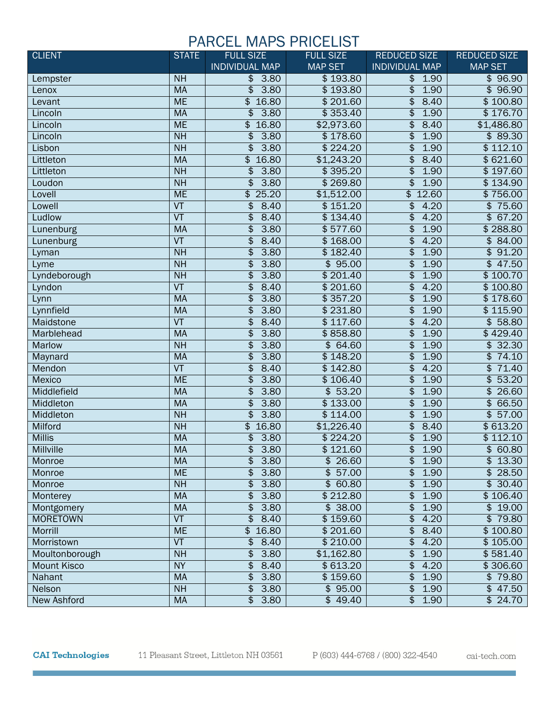| <b>CLIENT</b>      | <b>STATE</b>             | <b>FULL SIZE</b>      | <b>FULL SIZE</b> | <b>REDUCED SIZE</b>              | <b>REDUCED SIZE</b>              |
|--------------------|--------------------------|-----------------------|------------------|----------------------------------|----------------------------------|
|                    |                          | <b>INDIVIDUAL MAP</b> | <b>MAP SET</b>   | <b>INDIVIDUAL MAP</b>            | <b>MAP SET</b>                   |
| Lempster           | NH                       | \$<br>3.80            | \$193.80         | \$<br>1.90                       | \$96.90                          |
| Lenox              | <b>MA</b>                | 3.80<br>\$            | \$193.80         | \$<br>1.90                       | \$96.90                          |
| Levant             | <b>ME</b>                | 16.80<br>\$           | \$201.60         | \$<br>8.40                       | \$100.80                         |
| Lincoln            | <b>MA</b>                | 3.80<br>\$            | \$353.40         | \$<br>1.90                       | \$176.70                         |
| Lincoln            | <b>ME</b>                | 16.80<br>\$           | \$2,973.60       | \$<br>8.40                       | \$1,486.80                       |
| Lincoln            | NH                       | 3.80<br>\$            | \$178.60         | 1.90<br>\$                       | \$89.30                          |
| Lisbon             | NH                       | 3.80<br>\$            | \$224.20         | \$<br>1.90                       | \$112.10                         |
| Littleton          | <b>MA</b>                | 16.80<br>\$           | \$1,243.20       | \$<br>8.40                       | \$621.60                         |
| Littleton          | <b>NH</b>                | 3.80<br>\$            | \$395.20         | \$<br>1.90                       | \$197.60                         |
| Loudon             | <b>NH</b>                | 3.80<br>\$            | \$269.80         | \$<br>1.90                       | \$134.90                         |
| Lovell             | <b>ME</b>                | 25.20<br>\$           | \$1,512.00       | 12.60<br>\$                      | \$756.00                         |
| Lowell             | $\overline{\mathsf{VT}}$ | 8.40<br>\$            | \$151.20         | \$<br>4.20                       | \$75.60                          |
| Ludlow             | $\overline{\mathsf{VT}}$ | 8.40<br>\$            | \$134.40         | \$<br>4.20                       | \$67.20                          |
| Lunenburg          | <b>MA</b>                | 3.80<br>\$            | \$577.60         | \$<br>1.90                       | \$288.80                         |
| Lunenburg          | VT                       | \$<br>8.40            | \$168.00         | \$<br>4.20                       | \$84.00                          |
| Lyman              | <b>NH</b>                | \$<br>3.80            | \$182.40         | \$<br>1.90                       | \$<br>91.20                      |
| Lyme               | NH                       | 3.80<br>\$            | \$95.00          | \$<br>1.90                       | 47.50<br>\$                      |
| Lyndeborough       | NH                       | 3.80<br>\$            | \$201.40         | \$<br>1.90                       | \$100.70                         |
| Lyndon             | $\overline{\mathsf{VT}}$ | \$<br>8.40            | \$201.60         | \$<br>4.20                       | \$100.80                         |
| Lynn               | <b>MA</b>                | \$<br>3.80            | \$357.20         | \$<br>1.90                       | \$178.60                         |
| Lynnfield          | <b>MA</b>                | \$<br>3.80            | \$231.80         | \$<br>1.90                       | \$115.90                         |
| Maidstone          | $\overline{\mathsf{VT}}$ | \$<br>8.40            | \$117.60         | \$<br>4.20                       | \$58.80                          |
| Marblehead         | <b>MA</b>                | 3.80<br>\$            | \$858.80         | 1.90<br>\$                       | \$429.40                         |
| <b>Marlow</b>      | <b>NH</b>                | \$<br>3.80            | \$64.60          | \$<br>1.90                       | \$32.30                          |
| Maynard            | <b>MA</b>                | 3.80<br>\$            | \$148.20         | \$<br>1.90                       | 74.10<br>\$                      |
| Mendon             | $\overline{\mathsf{VT}}$ | 8.40<br>\$            | \$142.80         | 4.20<br>\$                       | \$<br>71.40                      |
| Mexico             | <b>ME</b>                | 3.80<br>\$            | \$106.40         | \$<br>1.90                       | \$53.20                          |
| Middlefield        | <b>MA</b>                | \$<br>3.80            | \$53.20          | \$<br>1.90                       | $\overline{\mathbf{e}}$<br>26.60 |
| Middleton          | <b>MA</b>                | \$<br>3.80            | \$133.00         | \$<br>1.90                       | 66.50<br>\$                      |
| Middleton          | <b>NH</b>                | 3.80<br>\$            | \$114.00         | \$<br>1.90                       | \$57.00                          |
| Milford            | <b>NH</b>                | 16.80<br>\$           | \$1,226.40       | \$<br>8.40                       | \$613.20                         |
| <b>Millis</b>      | <b>MA</b>                | \$<br>3.80            | \$224.20         | \$<br>1.90                       | \$112.10                         |
| Millville          | <b>MA</b>                | \$3.80                | \$121.60         | $\overline{\mathcal{L}}$<br>1.90 | \$60.80                          |
| Monroe             | <b>MA</b>                | \$<br>3.80            | \$26.60          | \$<br>1.90                       | \$13.30                          |
| Monroe             | <b>ME</b>                | \$<br>3.80            | \$57.00          | \$<br>1.90                       | \$28.50                          |
| Monroe             | <b>NH</b>                | 3.80<br>\$            | \$60.80          | 1.90<br>\$                       | \$30.40                          |
| Monterey           | <b>MA</b>                | 3.80<br>\$            | \$212.80         | 1.90<br>\$                       | \$106.40                         |
| Montgomery         | <b>MA</b>                | \$<br>3.80            | \$38.00          | \$<br>1.90                       | \$19.00                          |
| <b>MORETOWN</b>    | $\overline{\mathsf{VT}}$ | \$<br>8.40            | \$159.60         | 4.20<br>\$                       | \$79.80                          |
| Morrill            | <b>ME</b>                | 16.80<br>\$           | \$201.60         | \$<br>8.40                       | \$100.80                         |
| Morristown         | VT                       | \$<br>8.40            | \$210.00         | \$<br>4.20                       | \$105.00                         |
| Moultonborough     | <b>NH</b>                | 3.80<br>\$            | \$1,162.80       | \$<br>1.90                       | \$581.40                         |
| <b>Mount Kisco</b> | <b>NY</b>                | 8.40<br>\$            | \$613.20         | 4.20<br>\$                       | \$306.60                         |
| Nahant             | <b>MA</b>                | \$<br>3.80            | \$159.60         | \$<br>1.90                       | \$79.80                          |
| Nelson             | <b>NH</b>                | 3.80<br>\$            | \$95.00          | \$<br>1.90                       | \$47.50                          |
| <b>New Ashford</b> | <b>MA</b>                | 3.80<br>\$            | \$49.40          | 1.90<br>\$                       | \$24.70                          |

**CAI Technologies** 

11 Pleasant Street, Littleton NH 03561

P (603) 444-6768 / (800) 322-4540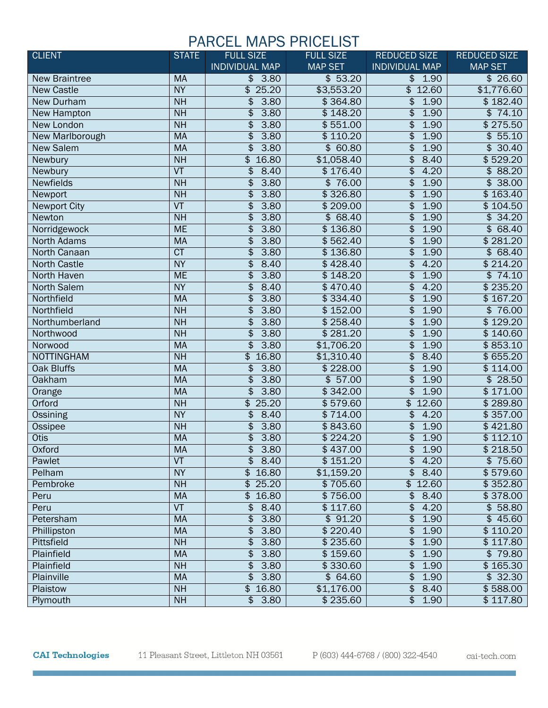| <b>CLIENT</b>          | <b>STATE</b>             | <b>FULL SIZE</b>      | <b>FULL SIZE</b> | <b>REDUCED SIZE</b>     | <b>REDUCED SIZE</b>      |
|------------------------|--------------------------|-----------------------|------------------|-------------------------|--------------------------|
|                        |                          | <b>INDIVIDUAL MAP</b> | <b>MAP SET</b>   | <b>INDIVIDUAL MAP</b>   | <b>MAP SET</b>           |
| <b>New Braintree</b>   | <b>MA</b>                | \$<br>3.80            | \$53.20          | \$<br>1.90              | \$26.60                  |
| <b>New Castle</b>      | NY                       | 25.20<br>\$           | \$3,553.20       | 12.60<br>\$             | \$1,776.60               |
| <b>New Durham</b>      | NH                       | 3.80<br>\$            | \$364.80         | 1.90<br>\$              | \$182.40                 |
| <b>New Hampton</b>     | NH                       | 3.80<br>\$            | \$148.20         | \$<br>1.90              | \$74.10                  |
| <b>New London</b>      | NH                       | 3.80<br>\$            | \$551.00         | 1.90<br>\$              | \$275.50                 |
| <b>New Marlborough</b> | <b>MA</b>                | 3.80<br>\$            | \$110.20         | 1.90<br>\$              | 55.10<br>\$              |
| <b>New Salem</b>       | <b>MA</b>                | \$<br>3.80            | \$60.80          | \$<br>1.90              | \$30.40                  |
| Newbury                | <b>NH</b>                | 16.80<br>\$           | \$1,058.40       | \$<br>8.40              | \$529.20                 |
| Newbury                | $\overline{\mathsf{VT}}$ | \$<br>8.40            | \$176.40         | $\overline{\$}$<br>4.20 | \$88.20                  |
| <b>Newfields</b>       | <b>NH</b>                | 3.80<br>\$            | \$76.00          | \$<br>1.90              | 38.00<br>\$              |
| Newport                | NH                       | 3.80<br>\$            | \$326.80         | 1.90<br>\$              | \$163.40                 |
| <b>Newport City</b>    | $\overline{\mathsf{VT}}$ | 3.80<br>\$            | \$209.00         | 1.90<br>\$              | \$104.50                 |
| Newton                 | NH                       | 3.80<br>\$            | \$68.40          | \$<br>1.90              | \$34.20                  |
| Norridgewock           | <b>ME</b>                | 3.80<br>\$            | \$136.80         | 1.90<br>\$              | $\overline{\$}$<br>68.40 |
| <b>North Adams</b>     | <b>MA</b>                | 3.80<br>\$            | \$562.40         | \$<br>1.90              | \$281.20                 |
| <b>North Canaan</b>    | $\overline{CT}$          | 3.80<br>\$            | \$136.80         | \$<br>1.90              | \$68.40                  |
| <b>North Castle</b>    | <b>NY</b>                | \$<br>8.40            | \$428.40         | \$<br>4.20              | \$214.20                 |
| North Haven            | <b>ME</b>                | 3.80<br>\$            | \$148.20         | 1.90<br>\$              | \$74.10                  |
| <b>North Salem</b>     | <b>NY</b>                | \$<br>8.40            | \$470.40         | \$<br>4.20              | \$235.20                 |
| Northfield             | <b>MA</b>                | \$<br>3.80            | \$334.40         | \$<br>1.90              | \$167.20                 |
| Northfield             | N <sub>H</sub>           | \$<br>3.80            | \$152.00         | \$<br>1.90              | \$76.00                  |
| Northumberland         | $\overline{NH}$          | \$<br>3.80            | \$258.40         | \$<br>1.90              | \$129.20                 |
| Northwood              | NH                       | \$<br>3.80            | \$281.20         | 1.90<br>\$              | \$140.60                 |
| Norwood                | <b>MA</b>                | 3.80<br>\$            | \$1,706.20       | \$<br>1.90              | \$853.10                 |
| <b>NOTTINGHAM</b>      | NH                       | 16.80<br>\$           | \$1,310.40       | 8.40<br>\$              | \$655.20                 |
| <b>Oak Bluffs</b>      | <b>MA</b>                | \$<br>3.80            | \$228.00         | 1.90<br>\$              | \$114.00                 |
| <b>Oakham</b>          | <b>MA</b>                | 3.80<br>\$            | \$57.00          | 1.90<br>\$              | \$28.50                  |
| <b>Orange</b>          | <b>MA</b>                | \$<br>3.80            | \$342.00         | $\overline{\$}$<br>1.90 | \$171.00                 |
| Orford                 | <b>NH</b>                | 25.20<br>\$           | \$579.60         | \$<br>12.60             | \$289.80                 |
| <b>Ossining</b>        | <b>NY</b>                | \$<br>8.40            | \$714.00         | 4.20<br>\$              | \$357.00                 |
| Ossipee                | <b>NH</b>                | 3.80<br>\$            | \$843.60         | \$<br>1.90              | \$421.80                 |
| <b>Otis</b>            | <b>MA</b>                | \$<br>3.80            | \$224.20         | \$<br>1.90              | \$112.10                 |
| Oxford                 | <b>MA</b>                | \$3.80                | \$437.00         | \$1.90                  | \$218.50                 |
| Pawlet                 | VT                       | $\sqrt{$}8.40$        | \$151.20         | \$<br>4.20              | \$75.60                  |
| Pelham                 | <b>NY</b>                | \$16.80               | \$1,159.20       | \$<br>8.40              | \$579.60                 |
| Pembroke               | <b>NH</b>                | \$25.20               | \$705.60         | \$12.60                 | \$352.80                 |
| Peru                   | <b>MA</b>                | \$16.80               | \$756.00         | \$<br>8.40              | \$378.00                 |
| Peru                   | VT                       | 8.40<br>\$            | \$117.60         | 4.20<br>\$              | \$58.80                  |
| Petersham              | <b>MA</b>                | 3.80<br>\$            | \$91.20          | \$<br>1.90              | \$45.60                  |
| Phillipston            | <b>MA</b>                | \$<br>3.80            | \$220.40         | 1.90<br>\$              | \$110.20                 |
| <b>Pittsfield</b>      | <b>NH</b>                | 3.80<br>\$            | \$235.60         | \$<br>1.90              | \$117.80                 |
| Plainfield             | <b>MA</b>                | 3.80<br>\$            | \$159.60         | 1.90<br>\$              | \$79.80                  |
| Plainfield             | <b>NH</b>                | 3.80<br>\$            | \$330.60         | \$<br>1.90              | \$165.30                 |
| Plainville             | <b>MA</b>                | \$<br>3.80            | \$64.60          | \$<br>1.90              | \$32.30                  |
| Plaistow               | <b>NH</b>                | \$16.80               | \$1,176.00       | \$<br>8.40              | \$588.00                 |
| Plymouth               | <b>NH</b>                | 3.80<br>\$            | \$235.60         | \$<br>1.90              | \$117.80                 |

**CAI Technologies** 

11 Pleasant Street, Littleton NH 03561

P (603) 444-6768 / (800) 322-4540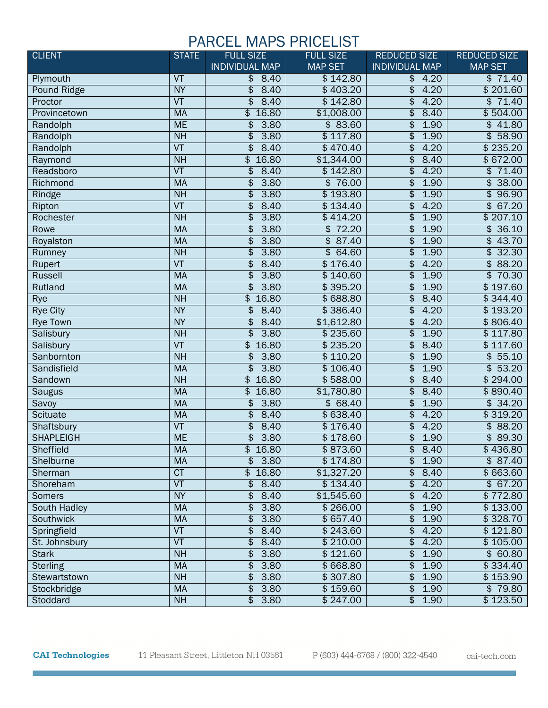| <b>CLIENT</b>      | <b>STATE</b>             | <b>FULL SIZE</b>                 | <b>FULL SIZE</b> | <b>REDUCED SIZE</b>     | <b>REDUCED SIZE</b>                |
|--------------------|--------------------------|----------------------------------|------------------|-------------------------|------------------------------------|
|                    |                          | <b>INDIVIDUAL MAP</b>            | <b>MAP SET</b>   | <b>INDIVIDUAL MAP</b>   | <b>MAP SET</b>                     |
| Plymouth           | VT                       | \$<br>8.40                       | \$142.80         | \$<br>4.20              | $\sqrt{5}$ 71.40                   |
| <b>Pound Ridge</b> | <b>NY</b>                | \$<br>8.40                       | \$403.20         | \$<br>4.20              | \$201.60                           |
| Proctor            | $\overline{\mathsf{VT}}$ | \$<br>8.40                       | \$142.80         | 4.20<br>\$              | \$71.40                            |
| Provincetown       | <b>MA</b>                | \$<br>16.80                      | \$1,008.00       | \$<br>8.40              | \$504.00                           |
| Randolph           | <b>ME</b>                | \$<br>3.80                       | \$83.60          | \$<br>1.90              | \$<br>41.80                        |
| Randolph           | <b>NH</b>                | 3.80<br>\$                       | \$117.80         | 1.90<br>\$              | 58.90<br>\$                        |
| Randolph           | $\overline{\mathsf{VT}}$ | \$<br>8.40                       | \$470.40         | \$<br>4.20              | \$235.20                           |
| Raymond            | <b>NH</b>                | 16.80<br>\$                      | \$1,344.00       | \$<br>8.40              | \$672.00                           |
| Readsboro          | $\overline{\mathsf{VT}}$ | \$<br>8.40                       | \$142.80         | \$<br>4.20              | \$71.40                            |
| Richmond           | <b>MA</b>                | 3.80<br>\$                       | \$76.00          | \$<br>1.90              | 38.00<br>\$                        |
| Rindge             | <b>NH</b>                | 3.80<br>\$                       | \$193.80         | 1.90<br>\$              | 96.90<br>\$                        |
| Ripton             | $\overline{\mathsf{VT}}$ | \$<br>8.40                       | \$134.40         | 4.20<br>\$              | 67.20<br>\$                        |
| Rochester          | NH                       | 3.80<br>\$                       | \$414.20         | \$<br>1.90              | \$207.10                           |
| Rowe               | <b>MA</b>                | 3.80<br>\$                       | \$72.20          | 1.90<br>\$              | \$36.10                            |
| Royalston          | <b>MA</b>                | 3.80<br>\$                       | 87.40<br>\$      | \$<br>1.90              | \$<br>43.70                        |
| Rumney             | <b>NH</b>                | 3.80<br>\$                       | \$<br>64.60      | \$<br>1.90              | 32.30<br>\$                        |
| Rupert             | $\overline{\mathsf{VT}}$ | \$<br>8.40                       | \$176.40         | \$<br>4.20              | 88.20<br>\$                        |
| Russell            | <b>MA</b>                | 3.80<br>\$                       | \$140.60         | 1.90<br>\$              | 70.30<br>\$                        |
| Rutland            | <b>MA</b>                | 3.80<br>\$                       | \$395.20         | \$<br>1.90              | \$197.60                           |
| Rye                | NH                       | $\overline{\mathbf{e}}$<br>16.80 | \$688.80         | \$<br>8.40              | \$344.40                           |
| <b>Rye City</b>    | <b>NY</b>                | \$<br>8.40                       | \$386.40         | \$<br>4.20              | \$193.20                           |
| <b>Rye Town</b>    | $\overline{NY}$          | \$<br>8.40                       | \$1,612.80       | \$<br>4.20              | \$806.40                           |
| Salisbury          | NH                       | \$<br>3.80                       | \$235.60         | 1.90<br>\$              | \$117.80                           |
| Salisbury          | $\overline{\mathsf{VT}}$ | 16.80<br>\$                      | \$235.20         | 8.40<br>\$              | \$117.60                           |
| Sanbornton         | <b>NH</b>                | \$<br>3.80                       | \$110.20         | 1.90<br>\$              | \$55.10                            |
| Sandisfield        | <b>MA</b>                | \$<br>3.80                       | \$106.40         | 1.90<br>\$              | $\overline{\mathfrak{s}}$<br>53.20 |
| Sandown            | NH                       | 16.80<br>\$                      | \$588.00         | 8.40<br>\$              | \$294.00                           |
| <b>Saugus</b>      | <b>MA</b>                | 16.80<br>\$                      | \$1,780.80       | \$<br>8.40              | \$890.40                           |
| Savoy              | <b>MA</b>                | 3.80<br>\$                       | \$<br>68.40      | $\overline{\$}$<br>1.90 | \$<br>34.20                        |
| Scituate           | <b>MA</b>                | \$<br>8.40                       | \$638.40         | 4.20<br>\$              | \$319.20                           |
| Shaftsbury         | $\overline{\text{VT}}$   | \$<br>8.40                       | \$176.40         | \$<br>4.20              | \$88.20                            |
| <b>SHAPLEIGH</b>   | <b>ME</b>                | \$<br>3.80                       | \$178.60         | \$<br>1.90              | $\overline{\mathbf{e}}$<br>89.30   |
| Sheffield          | <b>MA</b>                | \$16.80                          | \$873.60         | \$8.40                  | \$436.80                           |
| Shelburne          | <b>MA</b>                | \$<br>3.80                       | \$174.80         | \$<br>1.90              | \$87.40                            |
| Sherman            | CT                       | 16.80<br>\$                      | \$1,327.20       | \$<br>8.40              | \$663.60                           |
| Shoreham           | $\overline{\mathsf{VT}}$ | 8.40<br>\$                       | \$134.40         | 4.20<br>\$              | \$67.20                            |
| <b>Somers</b>      | <b>NY</b>                | \$<br>8.40                       | \$1,545.60       | 4.20<br>\$              | \$772.80                           |
| South Hadley       | <b>MA</b>                | \$<br>3.80                       | \$266.00         | \$<br>1.90              | \$133.00                           |
| Southwick          | <b>MA</b>                | 3.80<br>\$                       | \$657.40         | 1.90<br>\$              | \$328.70                           |
| Springfield        | $\overline{\mathsf{VT}}$ | \$<br>8.40                       | \$243.60         | 4.20<br>\$              | \$121.80                           |
| St. Johnsbury      | $\overline{\mathsf{VT}}$ | \$<br>8.40                       | \$210.00         | \$<br>4.20              | \$105.00                           |
| <b>Stark</b>       | <b>NH</b>                | 3.80<br>\$                       | \$121.60         | 1.90<br>\$              | \$60.80                            |
| <b>Sterling</b>    | <b>MA</b>                | 3.80<br>\$                       | \$668.80         | 1.90<br>\$              | \$334.40                           |
| Stewartstown       | <b>NH</b>                | \$<br>3.80                       | \$307.80         | \$<br>1.90              | \$153.90                           |
| Stockbridge        | <b>MA</b>                | 3.80<br>\$                       | \$159.60         | \$<br>1.90              | \$79.80                            |
| Stoddard           | <b>NH</b>                | \$<br>3.80                       | \$247.00         | \$<br>1.90              | \$123.50                           |

**CAI Technologies** 

11 Pleasant Street, Littleton NH 03561

P (603) 444-6768 / (800) 322-4540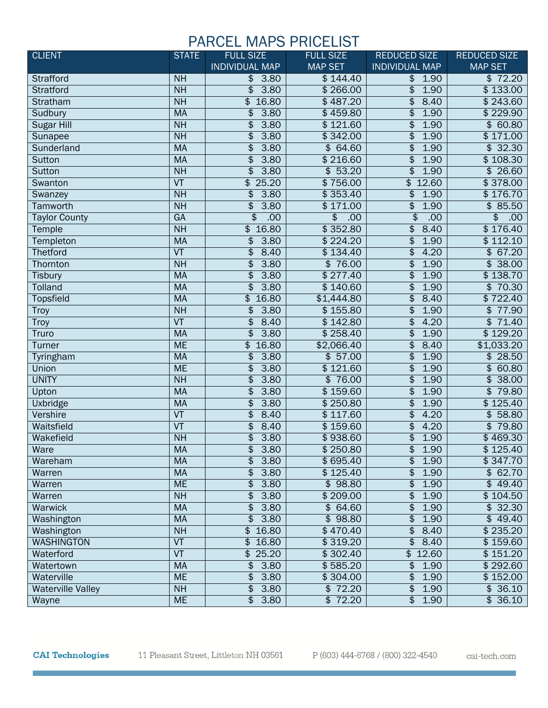| <b>CLIENT</b>            | <b>STATE</b>             | <b>FULL SIZE</b>                 | <b>FULL SIZE</b>               | <b>REDUCED SIZE</b>     | <b>REDUCED SIZE</b>              |
|--------------------------|--------------------------|----------------------------------|--------------------------------|-------------------------|----------------------------------|
|                          |                          | <b>INDIVIDUAL MAP</b>            | <b>MAP SET</b>                 | <b>INDIVIDUAL MAP</b>   | <b>MAP SET</b>                   |
| Strafford                | N <sub>H</sub>           | 3.80<br>\$                       | \$144.40                       | \$<br>1.90              | $\sqrt{2.20}$                    |
| Stratford                | $\overline{NH}$          | 3.80<br>\$                       | \$266.00                       | 1.90<br>\$              | \$133.00                         |
| Stratham                 | NH                       | 16.80<br>\$                      | \$487.20                       | 8.40<br>\$              | \$243.60                         |
| Sudbury                  | <b>MA</b>                | 3.80<br>\$                       | \$459.80                       | \$<br>1.90              | \$229.90                         |
| <b>Sugar Hill</b>        | <b>NH</b>                | 3.80<br>\$                       | \$121.60                       | 1.90<br>\$              | $\frac{1}{2}$<br>60.80           |
| Sunapee                  | NH                       | 3.80<br>\$                       | \$342.00                       | 1.90<br>\$              | \$171.00                         |
| Sunderland               | <b>MA</b>                | $\overline{\mathbf{e}}$<br>3.80  | \$64.60                        | \$<br>1.90              | \$32.30                          |
| Sutton                   | <b>MA</b>                | 3.80<br>$\overline{\mathbf{e}}$  | \$216.60                       | 1.90<br>\$              | \$108.30                         |
| <b>Sutton</b>            | <b>NH</b>                | 3.80<br>\$                       | \$53.20                        | $\overline{\$}$<br>1.90 | \$26.60                          |
| Swanton                  | $\overline{\mathsf{VT}}$ | 25.20<br>\$                      | \$756.00                       | \$<br>12.60             | \$378.00                         |
| Swanzey                  | NH                       | 3.80<br>\$                       | \$353.40                       | 1.90<br>\$              | \$176.70                         |
| Tamworth                 | NH                       | 3.80<br>\$                       | \$171.00                       | 1.90<br>\$              | \$85.50                          |
| <b>Taylor County</b>     | GA                       | $\overline{\mathbf{e}}$<br>.00   | $\overline{\mathbf{e}}$<br>.00 | \$<br>.00               | \$<br>.00                        |
| <b>Temple</b>            | NH                       | 16.80<br>$\overline{\$}$         | \$352.80                       | 8.40<br>\$              | \$176.40                         |
| Templeton                | <b>MA</b>                | 3.80<br>\$                       | \$224.20                       | \$<br>1.90              | \$112.10                         |
| Thetford                 | $\overline{\mathsf{VT}}$ | \$<br>8.40                       | \$134.40                       | \$<br>4.20              | 67.20<br>\$                      |
| Thornton                 | NH                       | \$<br>3.80                       | \$76.00                        | \$<br>1.90              | 38.00<br>\$                      |
| <b>Tisbury</b>           | <b>MA</b>                | 3.80<br>\$                       | \$277.40                       | 1.90<br>\$              | \$138.70                         |
| <b>Tolland</b>           | <b>MA</b>                | 3.80<br>\$                       | \$140.60                       | $\overline{\$}$<br>1.90 | \$70.30                          |
| <b>Topsfield</b>         | <b>MA</b>                | $\overline{\mathbf{e}}$<br>16.80 | \$1,444.80                     | \$<br>8.40              | \$722.40                         |
| <b>Troy</b>              | NH                       | 3.80<br>\$                       | \$155.80                       | \$<br>1.90              | \$77.90                          |
| Troy                     | $\overline{\mathsf{VT}}$ | \$<br>8.40                       | \$142.80                       | \$<br>4.20              | $\overline{\mathbf{e}}$<br>71.40 |
| Truro                    | <b>MA</b>                | \$<br>3.80                       | \$258.40                       | 1.90<br>\$              | \$129.20                         |
| <b>Turner</b>            | <b>ME</b>                | 16.80<br>$\overline{\mathbf{e}}$ | \$2,066.40                     | 8.40<br>\$              | \$1,033.20                       |
| <b>Tyringham</b>         | <b>MA</b>                | 3.80<br>\$                       | \$57.00                        | 1.90<br>\$              | \$28.50                          |
| Union                    | <b>ME</b>                | \$<br>3.80                       | \$121.60                       | \$<br>1.90              | \$<br>60.80                      |
| <b>UNITY</b>             | NH                       | 3.80<br>\$                       | \$76.00                        | 1.90<br>\$              | \$38.00                          |
| Upton                    | <b>MA</b>                | \$<br>3.80                       | \$159.60                       | \$<br>1.90              | \$79.80                          |
| Uxbridge                 | <b>MA</b>                | 3.80<br>\$                       | \$250.80                       | \$<br>1.90              | \$125.40                         |
| Vershire                 | VT                       | 8.40<br>\$                       | \$117.60                       | 4.20<br>\$              | \$58.80                          |
| Waitsfield               | $\overline{\text{VT}}$   | \$<br>8.40                       | \$159.60                       | 4.20<br>\$              | \$79.80                          |
| Wakefield                | <b>NH</b>                | \$<br>3.80                       | \$938.60                       | \$<br>1.90              | \$469.30                         |
| Ware                     | <b>MA</b>                | \$3.80                           | \$250.80                       | \$<br>1.90              | \$125.40                         |
| Wareham                  | <b>MA</b>                | \$<br>3.80                       | \$695.40                       | \$<br>1.90              | \$347.70                         |
| Warren                   | MA                       | 3.80<br>\$                       | \$125.40                       | \$<br>1.90              | \$62.70                          |
| Warren                   | <b>ME</b>                | 3.80<br>\$                       | \$98.80                        | 1.90<br>\$              | \$49.40                          |
| Warren                   | <b>NH</b>                | \$<br>3.80                       | \$209.00                       | 1.90<br>\$              | \$104.50                         |
| <b>Warwick</b>           | <b>MA</b>                | 3.80<br>\$                       | \$64.60                        | 1.90<br>\$              | \$32.30                          |
| Washington               | <b>MA</b>                | 3.80<br>\$                       | \$98.80                        | 1.90<br>\$              | \$49.40                          |
| Washington               | <b>NH</b>                | 16.80<br>\$                      | \$470.40                       | \$<br>8.40              | \$235.20                         |
| <b>WASHINGTON</b>        | VT                       | \$<br>16.80                      | \$319.20                       | \$<br>8.40              | \$159.60                         |
| Waterford                | $\overline{\mathsf{VT}}$ | \$25.20                          | \$302.40                       | \$12.60                 | \$151.20                         |
| Watertown                | <b>MA</b>                | 3.80<br>\$                       | \$585.20                       | 1.90<br>\$              | \$292.60                         |
| Waterville               | <b>ME</b>                | 3.80<br>\$                       | \$304.00                       | 1.90<br>\$              | \$152.00                         |
| <b>Waterville Valley</b> | <b>NH</b>                | 3.80<br>\$                       | \$72.20                        | 1.90<br>\$              | \$36.10                          |
| Wayne                    | <b>ME</b>                | 3.80<br>\$                       | \$72.20                        | \$<br>1.90              | \$36.10                          |

**CAI Technologies** 

11 Pleasant Street, Littleton NH 03561

P (603) 444-6768 / (800) 322-4540